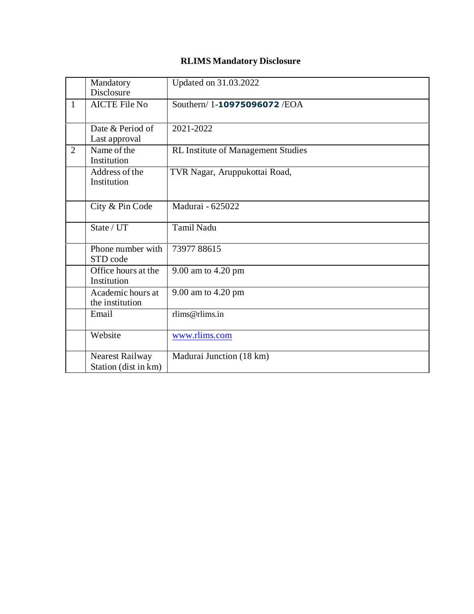## **RLIMS Mandatory Disclosure**

|                | Mandatory<br><b>Disclosure</b>          | Updated on 31.03.2022                     |
|----------------|-----------------------------------------|-------------------------------------------|
| $\mathbf{1}$   | <b>AICTE File No</b>                    | Southern/1-10975096072/EOA                |
|                | Date & Period of<br>Last approval       | 2021-2022                                 |
| $\overline{2}$ | Name of the<br>Institution              | <b>RL Institute of Management Studies</b> |
|                | Address of the<br>Institution           | TVR Nagar, Aruppukottai Road,             |
|                | City & Pin Code                         | Madurai - 625022                          |
|                | State / UT                              | <b>Tamil Nadu</b>                         |
|                | Phone number with<br>STD code           | 7397788615                                |
|                | Office hours at the<br>Institution      | 9.00 am to 4.20 pm                        |
|                | Academic hours at<br>the institution    | 9.00 am to 4.20 pm                        |
|                | Email                                   | rlims@rlims.in                            |
|                | Website                                 | www.rlims.com                             |
|                | Nearest Railway<br>Station (dist in km) | Madurai Junction (18 km)                  |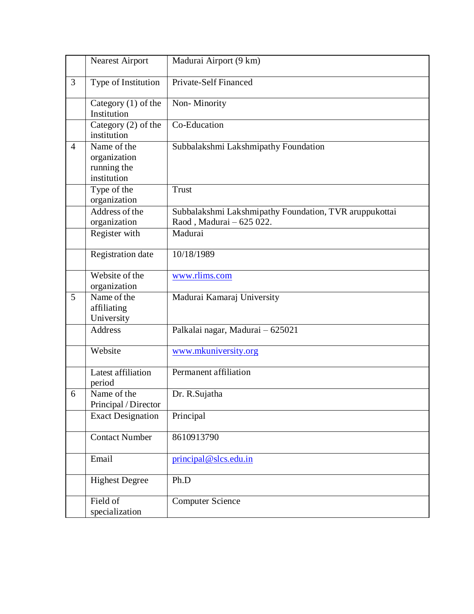|                | <b>Nearest Airport</b>                                    | Madurai Airport (9 km)                                                             |
|----------------|-----------------------------------------------------------|------------------------------------------------------------------------------------|
| 3              | Type of Institution                                       | Private-Self Financed                                                              |
|                | Category $(1)$ of the<br>Institution                      | Non-Minority                                                                       |
|                | Category $(2)$ of the<br>institution                      | Co-Education                                                                       |
| $\overline{4}$ | Name of the<br>organization<br>running the<br>institution | Subbalakshmi Lakshmipathy Foundation                                               |
|                | Type of the<br>organization                               | Trust                                                                              |
|                | Address of the<br>organization                            | Subbalakshmi Lakshmipathy Foundation, TVR aruppukottai<br>Raod, Madurai - 625 022. |
|                | Register with                                             | Madurai                                                                            |
|                | Registration date                                         | 10/18/1989                                                                         |
|                | Website of the<br>organization                            | www.rlims.com                                                                      |
| 5              | Name of the<br>affiliating<br>University                  | Madurai Kamaraj University                                                         |
|                | Address                                                   | Palkalai nagar, Madurai - 625021                                                   |
|                | Website                                                   | www.mkuniversity.org                                                               |
|                | Latest affiliation<br>period                              | Permanent affiliation                                                              |
| 6              | Name of the<br>Principal / Director                       | Dr. R.Sujatha                                                                      |
|                | <b>Exact Designation</b>                                  | Principal                                                                          |
|                | <b>Contact Number</b>                                     | 8610913790                                                                         |
|                | Email                                                     | $principal @$ slcs.edu.in                                                          |
|                | <b>Highest Degree</b>                                     | Ph.D                                                                               |
|                | Field of<br>specialization                                | Computer Science                                                                   |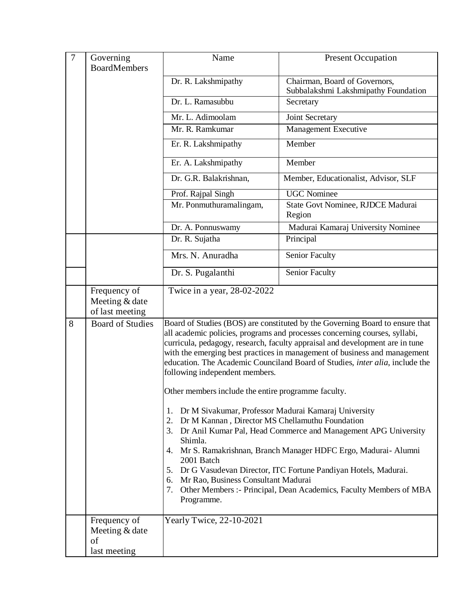| $\overline{7}$ | Governing                                            | Name                                                                                                                                                                                                                                                                                                                                                                                                                                                                                                                                                                                                                                                                                                                                                                                                                                                                                                                                                                                                       | <b>Present Occupation</b>                                             |
|----------------|------------------------------------------------------|------------------------------------------------------------------------------------------------------------------------------------------------------------------------------------------------------------------------------------------------------------------------------------------------------------------------------------------------------------------------------------------------------------------------------------------------------------------------------------------------------------------------------------------------------------------------------------------------------------------------------------------------------------------------------------------------------------------------------------------------------------------------------------------------------------------------------------------------------------------------------------------------------------------------------------------------------------------------------------------------------------|-----------------------------------------------------------------------|
|                | <b>BoardMembers</b>                                  |                                                                                                                                                                                                                                                                                                                                                                                                                                                                                                                                                                                                                                                                                                                                                                                                                                                                                                                                                                                                            |                                                                       |
|                |                                                      | Dr. R. Lakshmipathy                                                                                                                                                                                                                                                                                                                                                                                                                                                                                                                                                                                                                                                                                                                                                                                                                                                                                                                                                                                        | Chairman, Board of Governors,<br>Subbalakshmi Lakshmipathy Foundation |
|                |                                                      | Dr. L. Ramasubbu                                                                                                                                                                                                                                                                                                                                                                                                                                                                                                                                                                                                                                                                                                                                                                                                                                                                                                                                                                                           | Secretary                                                             |
|                |                                                      | Mr. L. Adimoolam                                                                                                                                                                                                                                                                                                                                                                                                                                                                                                                                                                                                                                                                                                                                                                                                                                                                                                                                                                                           | Joint Secretary                                                       |
|                |                                                      | Mr. R. Ramkumar                                                                                                                                                                                                                                                                                                                                                                                                                                                                                                                                                                                                                                                                                                                                                                                                                                                                                                                                                                                            | Management Executive                                                  |
|                |                                                      | Er. R. Lakshmipathy                                                                                                                                                                                                                                                                                                                                                                                                                                                                                                                                                                                                                                                                                                                                                                                                                                                                                                                                                                                        | Member                                                                |
|                |                                                      | Er. A. Lakshmipathy                                                                                                                                                                                                                                                                                                                                                                                                                                                                                                                                                                                                                                                                                                                                                                                                                                                                                                                                                                                        | Member                                                                |
|                |                                                      | Dr. G.R. Balakrishnan,                                                                                                                                                                                                                                                                                                                                                                                                                                                                                                                                                                                                                                                                                                                                                                                                                                                                                                                                                                                     | Member, Educationalist, Advisor, SLF                                  |
|                |                                                      | Prof. Rajpal Singh                                                                                                                                                                                                                                                                                                                                                                                                                                                                                                                                                                                                                                                                                                                                                                                                                                                                                                                                                                                         | <b>UGC</b> Nominee                                                    |
|                |                                                      | Mr. Ponmuthuramalingam,                                                                                                                                                                                                                                                                                                                                                                                                                                                                                                                                                                                                                                                                                                                                                                                                                                                                                                                                                                                    | State Govt Nominee, RJDCE Madurai<br>Region                           |
|                |                                                      | Dr. A. Ponnuswamy                                                                                                                                                                                                                                                                                                                                                                                                                                                                                                                                                                                                                                                                                                                                                                                                                                                                                                                                                                                          | Madurai Kamaraj University Nominee                                    |
|                |                                                      | Dr. R. Sujatha                                                                                                                                                                                                                                                                                                                                                                                                                                                                                                                                                                                                                                                                                                                                                                                                                                                                                                                                                                                             | Principal                                                             |
|                |                                                      | Mrs. N. Anuradha                                                                                                                                                                                                                                                                                                                                                                                                                                                                                                                                                                                                                                                                                                                                                                                                                                                                                                                                                                                           | <b>Senior Faculty</b>                                                 |
|                |                                                      | Dr. S. Pugalanthi                                                                                                                                                                                                                                                                                                                                                                                                                                                                                                                                                                                                                                                                                                                                                                                                                                                                                                                                                                                          | <b>Senior Faculty</b>                                                 |
|                | Frequency of<br>Meeting & date<br>of last meeting    | Twice in a year, 28-02-2022                                                                                                                                                                                                                                                                                                                                                                                                                                                                                                                                                                                                                                                                                                                                                                                                                                                                                                                                                                                |                                                                       |
| 8              | <b>Board of Studies</b>                              | Board of Studies (BOS) are constituted by the Governing Board to ensure that<br>all academic policies, programs and processes concerning courses, syllabi,<br>curricula, pedagogy, research, faculty appraisal and development are in tune<br>with the emerging best practices in management of business and management<br>education. The Academic Counciland Board of Studies, <i>inter alia</i> , include the<br>following independent members.<br>Other members include the entire programme faculty.<br>Dr M Sivakumar, Professor Madurai Kamaraj University<br>1.<br>Dr M Kannan, Director MS Chellamuthu Foundation<br>2.<br>3. Dr Anil Kumar Pal, Head Commerce and Management APG University<br>Shimla.<br>4. Mr S. Ramakrishnan, Branch Manager HDFC Ergo, Madurai- Alumni<br>2001 Batch<br>5. Dr G Vasudevan Director, ITC Fortune Pandiyan Hotels, Madurai.<br>Mr Rao, Business Consultant Madurai<br>6.<br>7. Other Members :- Principal, Dean Academics, Faculty Members of MBA<br>Programme. |                                                                       |
|                | Frequency of<br>Meeting & date<br>of<br>last meeting | Yearly Twice, 22-10-2021                                                                                                                                                                                                                                                                                                                                                                                                                                                                                                                                                                                                                                                                                                                                                                                                                                                                                                                                                                                   |                                                                       |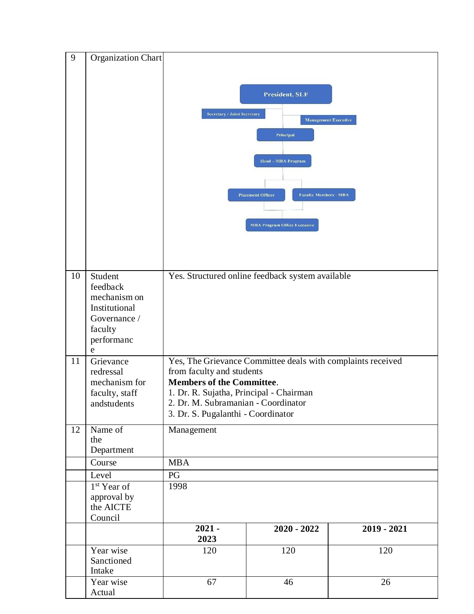| 9  | Organization Chart                                                                      |                                                                                                                                                                                                                                |                                                  |               |
|----|-----------------------------------------------------------------------------------------|--------------------------------------------------------------------------------------------------------------------------------------------------------------------------------------------------------------------------------|--------------------------------------------------|---------------|
|    |                                                                                         |                                                                                                                                                                                                                                |                                                  |               |
|    |                                                                                         | President, SLF<br><b>Secretary / Joint Secretary</b><br><b>Management Executive</b><br>Principal<br><b>Head-MBA Program</b><br><b>Placement Officer</b><br><b>Faculty Members - MBA</b><br><b>MBA Program Office Executive</b> |                                                  |               |
| 10 | Student                                                                                 |                                                                                                                                                                                                                                | Yes. Structured online feedback system available |               |
|    | feedback<br>mechanism on<br>Institutional<br>Governance /<br>faculty<br>performanc<br>e |                                                                                                                                                                                                                                |                                                  |               |
| 11 | Grievance                                                                               | Yes, The Grievance Committee deals with complaints received                                                                                                                                                                    |                                                  |               |
|    | redressal<br>mechanism for                                                              | from faculty and students<br><b>Members of the Committee.</b>                                                                                                                                                                  |                                                  |               |
|    | faculty, staff                                                                          | 1. Dr. R. Sujatha, Principal - Chairman                                                                                                                                                                                        |                                                  |               |
|    | andstudents                                                                             | 2. Dr. M. Subramanian - Coordinator                                                                                                                                                                                            |                                                  |               |
|    |                                                                                         | 3. Dr. S. Pugalanthi - Coordinator                                                                                                                                                                                             |                                                  |               |
| 12 | Name of<br>the<br>Department                                                            | Management                                                                                                                                                                                                                     |                                                  |               |
|    | Course                                                                                  | <b>MBA</b>                                                                                                                                                                                                                     |                                                  |               |
|    | Level                                                                                   | PG                                                                                                                                                                                                                             |                                                  |               |
|    | 1 <sup>st</sup> Year of<br>approval by<br>the AICTE<br>Council                          | 1998                                                                                                                                                                                                                           |                                                  |               |
|    |                                                                                         | $2021 -$<br>2023                                                                                                                                                                                                               | $2020 - 2022$                                    | $2019 - 2021$ |
|    | Year wise<br>Sanctioned<br>Intake                                                       | 120                                                                                                                                                                                                                            | 120                                              | 120           |
|    | Year wise<br>Actual                                                                     | 67                                                                                                                                                                                                                             | 46                                               | 26            |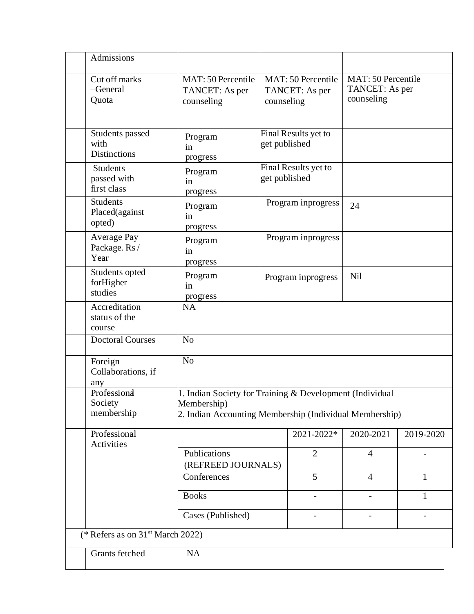| Admissions                                     |                                                                                                                                    |               |                                      |                                                    |              |
|------------------------------------------------|------------------------------------------------------------------------------------------------------------------------------------|---------------|--------------------------------------|----------------------------------------------------|--------------|
| Cut off marks<br>-General<br>Quota             | MAT: 50 Percentile<br>TANCET: As per<br>counseling                                                                                 | counseling    | MAT: 50 Percentile<br>TANCET: As per | MAT: 50 Percentile<br>TANCET: As per<br>counseling |              |
| Students passed<br>with<br><b>Distinctions</b> | Program<br>in<br>progress                                                                                                          | get published | Final Results yet to                 |                                                    |              |
| <b>Students</b><br>passed with<br>first class  | Program<br>in<br>progress                                                                                                          | get published | Final Results yet to                 |                                                    |              |
| <b>Students</b><br>Placed(against<br>opted)    | Program<br>in<br>progress                                                                                                          |               | Program inprogress                   | 24                                                 |              |
| Average Pay<br>Package. Rs/<br>Year            | Program<br>in<br>progress                                                                                                          |               | Program inprogress                   |                                                    |              |
| Students opted<br>forHigher<br>studies         | Program<br>in<br>progress                                                                                                          |               | Program inprogress                   | Nil                                                |              |
| Accreditation<br>status of the<br>course       | <b>NA</b>                                                                                                                          |               |                                      |                                                    |              |
| <b>Doctoral Courses</b>                        | N <sub>o</sub>                                                                                                                     |               |                                      |                                                    |              |
| Foreign<br>Collaborations, if<br>any           | N <sub>o</sub>                                                                                                                     |               |                                      |                                                    |              |
| Professiona<br>Society<br>membership           | 1. Indian Society for Training & Development (Individual<br>Membership)<br>2. Indian Accounting Membership (Individual Membership) |               |                                      |                                                    |              |
| Professional<br>Activities                     |                                                                                                                                    |               | 2021-2022*                           | 2020-2021                                          | 2019-2020    |
|                                                | Publications<br>(REFREED JOURNALS)                                                                                                 |               | $\overline{2}$                       | $\overline{4}$                                     |              |
|                                                | Conferences                                                                                                                        |               | 5                                    | $\overline{4}$                                     | $\mathbf{1}$ |
|                                                | <b>Books</b>                                                                                                                       |               | $\overline{\phantom{0}}$             |                                                    | $\mathbf{1}$ |
|                                                | Cases (Published)                                                                                                                  |               | $\overline{a}$                       |                                                    |              |
| (* Refers as on $31st$ March 2022)             |                                                                                                                                    |               |                                      |                                                    |              |
| Grants fetched                                 | NA                                                                                                                                 |               |                                      |                                                    |              |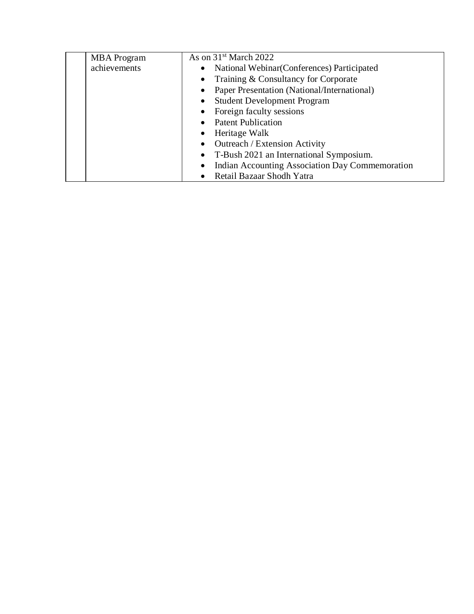| <b>MBA</b> Program | As on 31 <sup>st</sup> March 2022               |
|--------------------|-------------------------------------------------|
| achievements       | National Webinar (Conferences) Participated     |
|                    | Training & Consultancy for Corporate            |
|                    | Paper Presentation (National/International)     |
|                    | <b>Student Development Program</b><br>$\bullet$ |
|                    | • Foreign faculty sessions                      |
|                    | • Patent Publication                            |
|                    | Heritage Walk                                   |
|                    | <b>Outreach / Extension Activity</b>            |
|                    | • T-Bush 2021 an International Symposium.       |
|                    | Indian Accounting Association Day Commemoration |
|                    | • Retail Bazaar Shodh Yatra                     |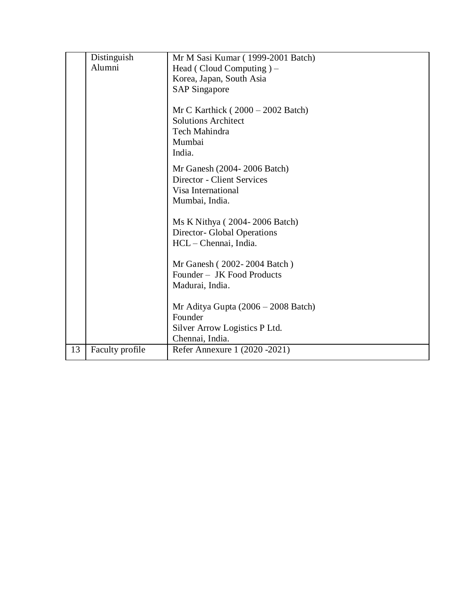|    | Distinguish     | Mr M Sasi Kumar (1999-2001 Batch)     |
|----|-----------------|---------------------------------------|
|    | Alumni          | Head (Cloud Computing) $-$            |
|    |                 | Korea, Japan, South Asia              |
|    |                 | <b>SAP Singapore</b>                  |
|    |                 |                                       |
|    |                 | Mr C Karthick $(2000 - 2002$ Batch)   |
|    |                 | <b>Solutions Architect</b>            |
|    |                 | Tech Mahindra                         |
|    |                 | Mumbai                                |
|    |                 | India.                                |
|    |                 |                                       |
|    |                 | Mr Ganesh (2004-2006 Batch)           |
|    |                 | Director - Client Services            |
|    |                 | Visa International                    |
|    |                 | Mumbai, India.                        |
|    |                 | Ms K Nithya (2004-2006 Batch)         |
|    |                 | Director- Global Operations           |
|    |                 | $HCL - Chennai$ , India.              |
|    |                 |                                       |
|    |                 | Mr Ganesh (2002-2004 Batch)           |
|    |                 | Founder - JK Food Products            |
|    |                 | Madurai, India.                       |
|    |                 |                                       |
|    |                 | Mr Aditya Gupta $(2006 - 2008$ Batch) |
|    |                 | Founder                               |
|    |                 | Silver Arrow Logistics P Ltd.         |
|    |                 | Chennai, India.                       |
| 13 | Faculty profile | Refer Annexure 1 (2020 - 2021)        |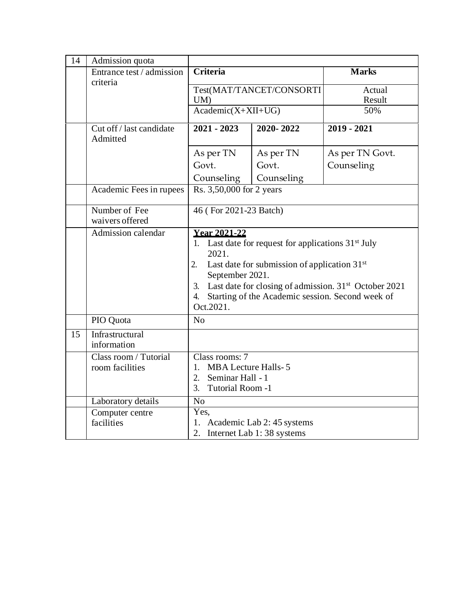| 14 | Admission quota                          |                                                                                                                                                                                                                                                                                                                 |                          |                  |
|----|------------------------------------------|-----------------------------------------------------------------------------------------------------------------------------------------------------------------------------------------------------------------------------------------------------------------------------------------------------------------|--------------------------|------------------|
|    | Entrance test / admission<br>criteria    | <b>Criteria</b>                                                                                                                                                                                                                                                                                                 |                          | <b>Marks</b>     |
|    |                                          | UM)                                                                                                                                                                                                                                                                                                             | Test(MAT/TANCET/CONSORTI | Actual<br>Result |
|    |                                          | $Academic(X+XII+UG)$                                                                                                                                                                                                                                                                                            |                          | 50%              |
|    | Cut off / last candidate<br>Admitted     | $2021 - 2023$                                                                                                                                                                                                                                                                                                   | 2020-2022                | $2019 - 2021$    |
|    |                                          | As per TN                                                                                                                                                                                                                                                                                                       | As per TN                | As per TN Govt.  |
|    |                                          | Govt.                                                                                                                                                                                                                                                                                                           | Govt.                    | Counseling       |
|    |                                          | Counseling                                                                                                                                                                                                                                                                                                      | Counseling               |                  |
|    | Academic Fees in rupees                  | Rs. 3,50,000 for 2 years                                                                                                                                                                                                                                                                                        |                          |                  |
|    | Number of Fee<br>waivers offered         | 46 (For 2021-23 Batch)                                                                                                                                                                                                                                                                                          |                          |                  |
|    | Admission calendar                       | <b>Year 2021-22</b><br>1. Last date for request for applications $31st$ July<br>2021.<br>Last date for submission of application $31st$<br>2.<br>September 2021.<br>Last date for closing of admission. 31 <sup>st</sup> October 2021<br>3.<br>4. Starting of the Academic session. Second week of<br>Oct.2021. |                          |                  |
|    | PIO Quota                                | N <sub>o</sub>                                                                                                                                                                                                                                                                                                  |                          |                  |
| 15 | Infrastructural<br>information           |                                                                                                                                                                                                                                                                                                                 |                          |                  |
|    | Class room / Tutorial<br>room facilities | Class rooms: 7<br><b>MBA Lecture Halls-5</b><br>1 <sup>1</sup><br>2. Seminar Hall - 1                                                                                                                                                                                                                           |                          |                  |
|    |                                          | Tutorial Room -1<br>3.                                                                                                                                                                                                                                                                                          |                          |                  |
|    | Laboratory details                       | N <sub>o</sub>                                                                                                                                                                                                                                                                                                  |                          |                  |
|    | Computer centre<br>facilities            | Yes,<br>1. Academic Lab 2: 45 systems<br>2. Internet Lab 1:38 systems                                                                                                                                                                                                                                           |                          |                  |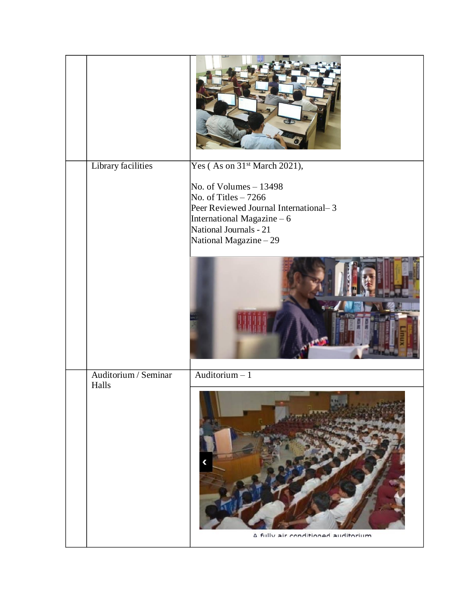| Library facilities            | Yes (As on 31 <sup>st</sup> March 2021),                                                                                                                                    |
|-------------------------------|-----------------------------------------------------------------------------------------------------------------------------------------------------------------------------|
|                               | No. of Volumes $-13498$<br>No. of Titles $-7266$<br>Peer Reviewed Journal International-3<br>International Magazine - 6<br>National Journals - 21<br>National Magazine - 29 |
| Auditorium / Seminar<br>Halls | Auditorium $-1$<br>A fully air conditioned auditorium                                                                                                                       |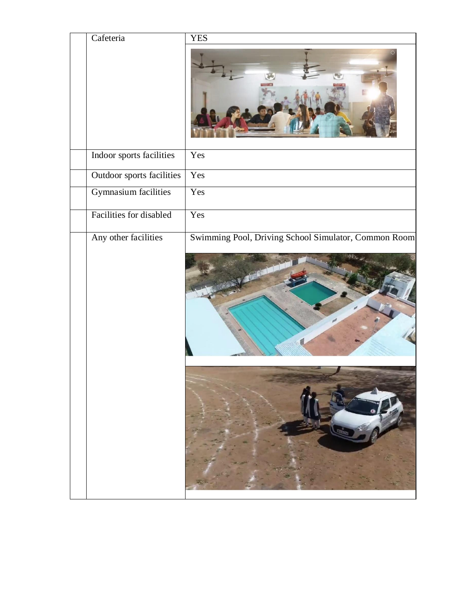| Cafeteria                   | <b>YES</b>                                           |
|-----------------------------|------------------------------------------------------|
|                             |                                                      |
| Indoor sports facilities    | Yes                                                  |
| Outdoor sports facilities   | Yes                                                  |
| <b>Gymnasium</b> facilities | Yes                                                  |
| Facilities for disabled     | Yes                                                  |
| Any other facilities        | Swimming Pool, Driving School Simulator, Common Room |
|                             |                                                      |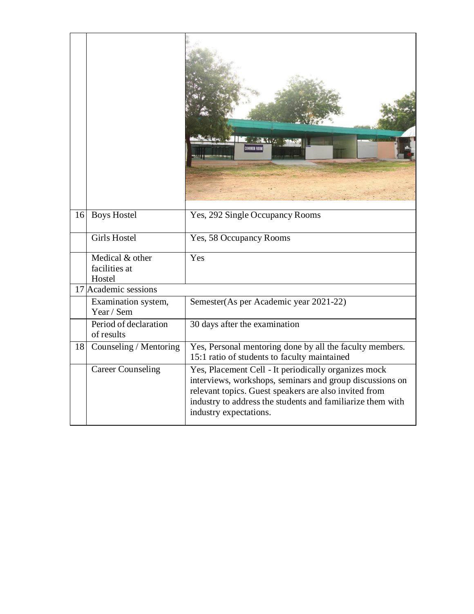| 16 | <b>Boys Hostel</b>                         | Yes, 292 Single Occupancy Rooms                                                                                                                                                                                                                                   |
|----|--------------------------------------------|-------------------------------------------------------------------------------------------------------------------------------------------------------------------------------------------------------------------------------------------------------------------|
|    | <b>Girls Hostel</b>                        | Yes, 58 Occupancy Rooms                                                                                                                                                                                                                                           |
|    | Medical & other<br>facilities at<br>Hostel | $\overline{Y}$ es                                                                                                                                                                                                                                                 |
|    | 17 Academic sessions                       |                                                                                                                                                                                                                                                                   |
|    | Examination system,<br>Year / Sem          | Semester(As per Academic year 2021-22)                                                                                                                                                                                                                            |
|    | Period of declaration<br>of results        | 30 days after the examination                                                                                                                                                                                                                                     |
| 18 | Counseling / Mentoring                     | Yes, Personal mentoring done by all the faculty members.<br>15:1 ratio of students to faculty maintained                                                                                                                                                          |
|    | <b>Career Counseling</b>                   | Yes, Placement Cell - It periodically organizes mock<br>interviews, workshops, seminars and group discussions on<br>relevant topics. Guest speakers are also invited from<br>industry to address the students and familiarize them with<br>industry expectations. |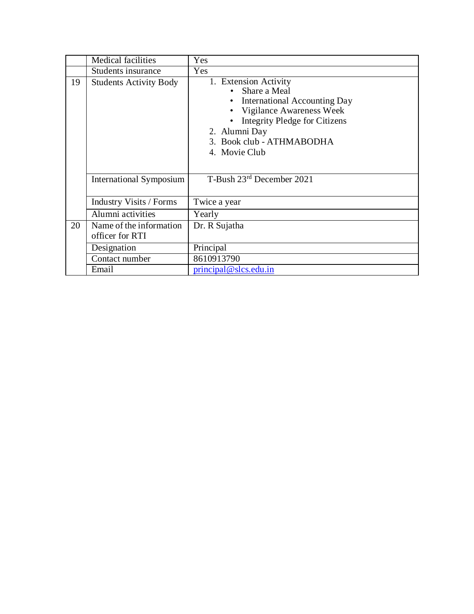|    | Medical facilities             | Yes                                  |
|----|--------------------------------|--------------------------------------|
|    | Students insurance             | Yes                                  |
| 19 | <b>Students Activity Body</b>  | 1. Extension Activity                |
|    |                                | Share a Meal                         |
|    |                                | • International Accounting Day       |
|    |                                | Vigilance Awareness Week             |
|    |                                | <b>Integrity Pledge for Citizens</b> |
|    |                                | 2. Alumni Day                        |
|    |                                | 3. Book club - ATHMABODHA            |
|    |                                | 4. Movie Club                        |
|    |                                |                                      |
|    |                                |                                      |
|    | International Symposium        | T-Bush 23rd December 2021            |
|    |                                |                                      |
|    | <b>Industry Visits / Forms</b> | Twice a year                         |
|    | Alumni activities              | Yearly                               |
| 20 | Name of the information        | Dr. R Sujatha                        |
|    | officer for RTI                |                                      |
|    | Designation                    | Principal                            |
|    | Contact number                 | 8610913790                           |
|    | Email                          | $principal @$ slcs.edu.in            |